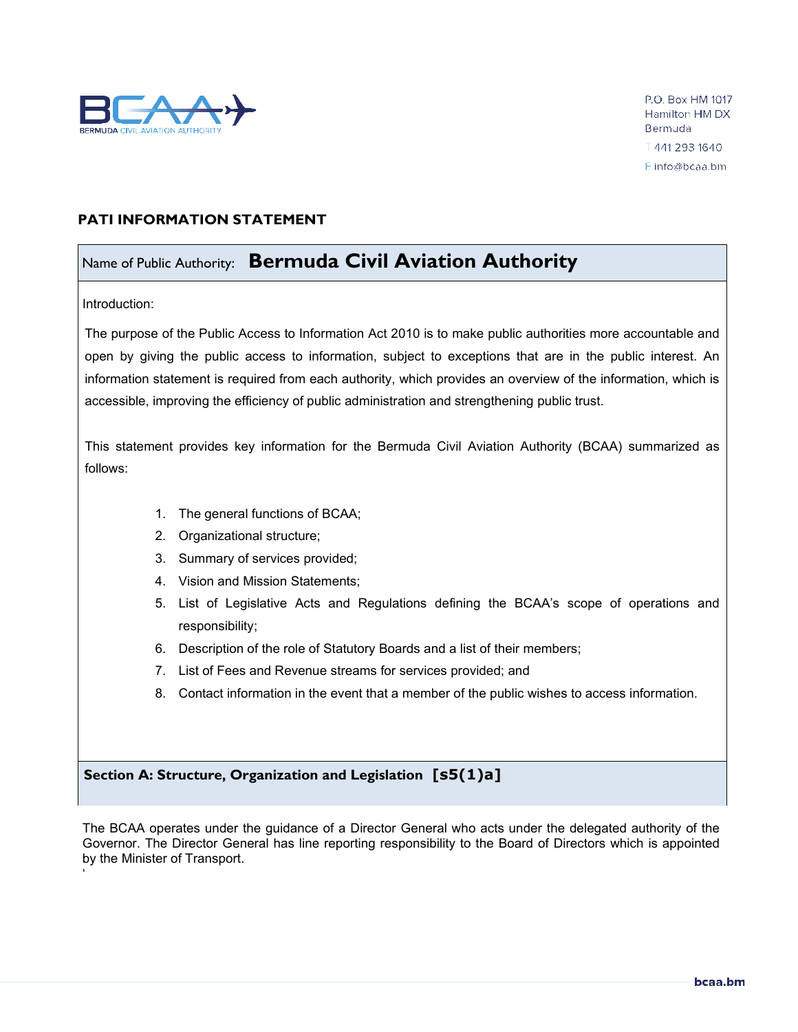

P.O. Box HM 1017 Hamilton HM DX Bermuda ↑441 293 1640 E info@bcaa.bm

## **PATI INFORMATION STATEMENT**

# Name of Public Authority: **Bermuda Civil Aviation Authority**

Introduction:

'

The purpose of the Public Access to Information Act 2010 is to make public authorities more accountable and open by giving the public access to information, subject to exceptions that are in the public interest. An information statement is required from each authority, which provides an overview of the information, which is accessible, improving the efficiency of public administration and strengthening public trust.

This statement provides key information for the Bermuda Civil Aviation Authority (BCAA) summarized as follows:

- 1. The general functions of BCAA;
- 2. Organizational structure;
- 3. Summary of services provided;
- 4. Vision and Mission Statements;
- 5. List of Legislative Acts and Regulations defining the BCAA's scope of operations and responsibility;
- 6. Description of the role of Statutory Boards and a list of their members;
- 7. List of Fees and Revenue streams for services provided; and
- 8. Contact information in the event that a member of the public wishes to access information.

# **Section A: Structure, Organization and Legislation [s5(1)a]**

The BCAA operates under the guidance of a Director General who acts under the delegated authority of the Governor. The Director General has line reporting responsibility to the Board of Directors which is appointed by the Minister of Transport.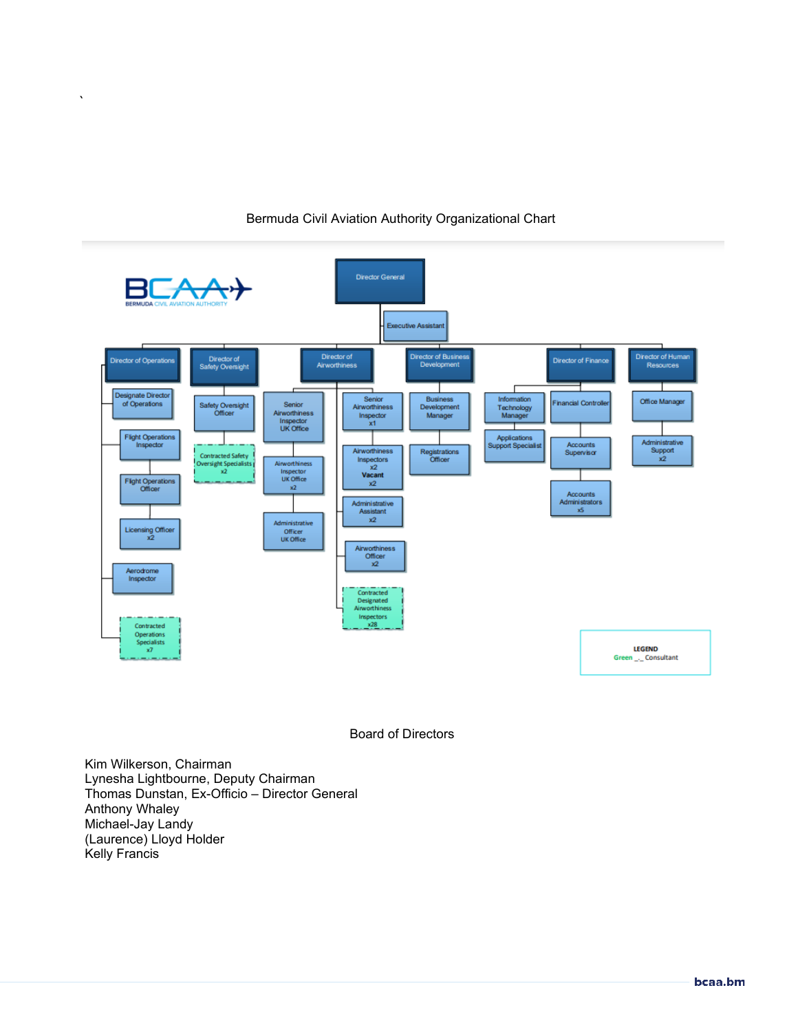



Board of Directors

Kim Wilkerson, Chairman Lynesha Lightbourne, Deputy Chairman Thomas Dunstan, Ex-Officio – Director General Anthony Whaley Michael-Jay Landy (Laurence) Lloyd Holder Kelly Francis

 $\bar{\mathbf{v}}$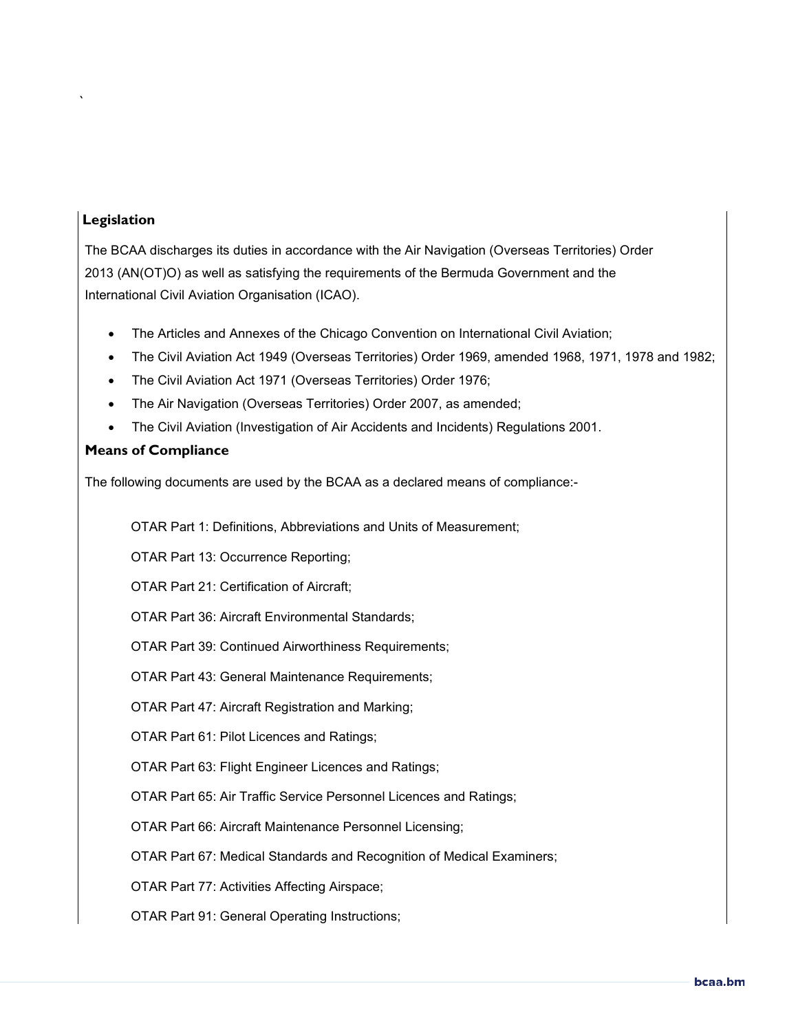# **Legislation**

`

The BCAA discharges its duties in accordance with the Air Navigation (Overseas Territories) Order 2013 (AN(OT)O) as well as satisfying the requirements of the Bermuda Government and the International Civil Aviation Organisation (ICAO).

- The Articles and Annexes of the Chicago Convention on International Civil Aviation;
- The Civil Aviation Act 1949 (Overseas Territories) Order 1969, amended 1968, 1971, 1978 and 1982;
- The Civil Aviation Act 1971 (Overseas Territories) Order 1976;
- The Air Navigation (Overseas Territories) Order 2007, as amended;
- The Civil Aviation (Investigation of Air Accidents and Incidents) Regulations 2001.

# **Means of Compliance**

The following documents are used by the BCAA as a declared means of compliance:-

OTAR Part 1: Definitions, Abbreviations and Units of Measurement;

OTAR Part 13: Occurrence Reporting;

OTAR Part 21: Certification of Aircraft;

OTAR Part 36: Aircraft Environmental Standards;

OTAR Part 39: Continued Airworthiness Requirements;

OTAR Part 43: General Maintenance Requirements;

OTAR Part 47: Aircraft Registration and Marking;

OTAR Part 61: Pilot Licences and Ratings;

OTAR Part 63: Flight Engineer Licences and Ratings;

OTAR Part 65: Air Traffic Service Personnel Licences and Ratings;

OTAR Part 66: Aircraft Maintenance Personnel Licensing;

OTAR Part 67: Medical Standards and Recognition of Medical Examiners;

OTAR Part 77: Activities Affecting Airspace;

OTAR Part 91: General Operating Instructions;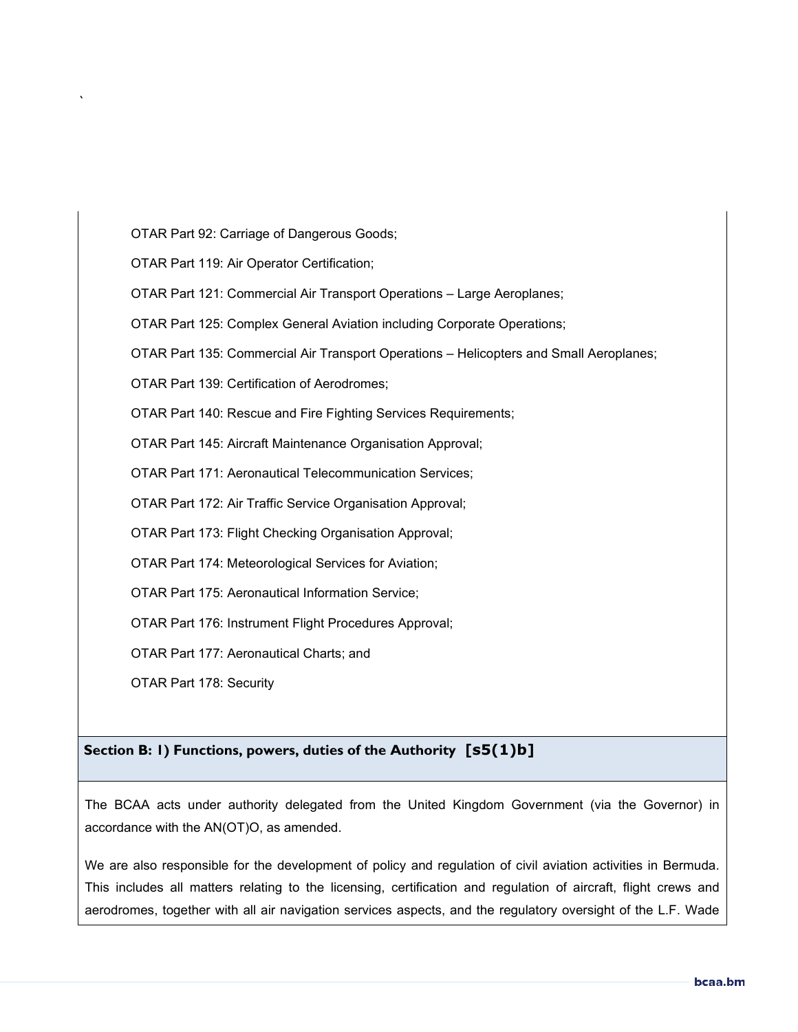OTAR Part 92: Carriage of Dangerous Goods;

OTAR Part 119: Air Operator Certification;

`

OTAR Part 121: Commercial Air Transport Operations – Large Aeroplanes;

OTAR Part 125: Complex General Aviation including Corporate Operations;

OTAR Part 135: Commercial Air Transport Operations – Helicopters and Small Aeroplanes;

OTAR Part 139: Certification of Aerodromes;

OTAR Part 140: Rescue and Fire Fighting Services Requirements;

OTAR Part 145: Aircraft Maintenance Organisation Approval;

OTAR Part 171: Aeronautical Telecommunication Services;

OTAR Part 172: Air Traffic Service Organisation Approval;

OTAR Part 173: Flight Checking Organisation Approval;

OTAR Part 174: Meteorological Services for Aviation;

OTAR Part 175: Aeronautical Information Service;

OTAR Part 176: Instrument Flight Procedures Approval;

OTAR Part 177: Aeronautical Charts; and

OTAR Part 178: Security

### **Section B: 1) Functions, powers, duties of the Authority [s5(1)b]**

The BCAA acts under authority delegated from the United Kingdom Government (via the Governor) in accordance with the AN(OT)O, as amended.

We are also responsible for the development of policy and regulation of civil aviation activities in Bermuda. This includes all matters relating to the licensing, certification and regulation of aircraft, flight crews and aerodromes, together with all air navigation services aspects, and the regulatory oversight of the L.F. Wade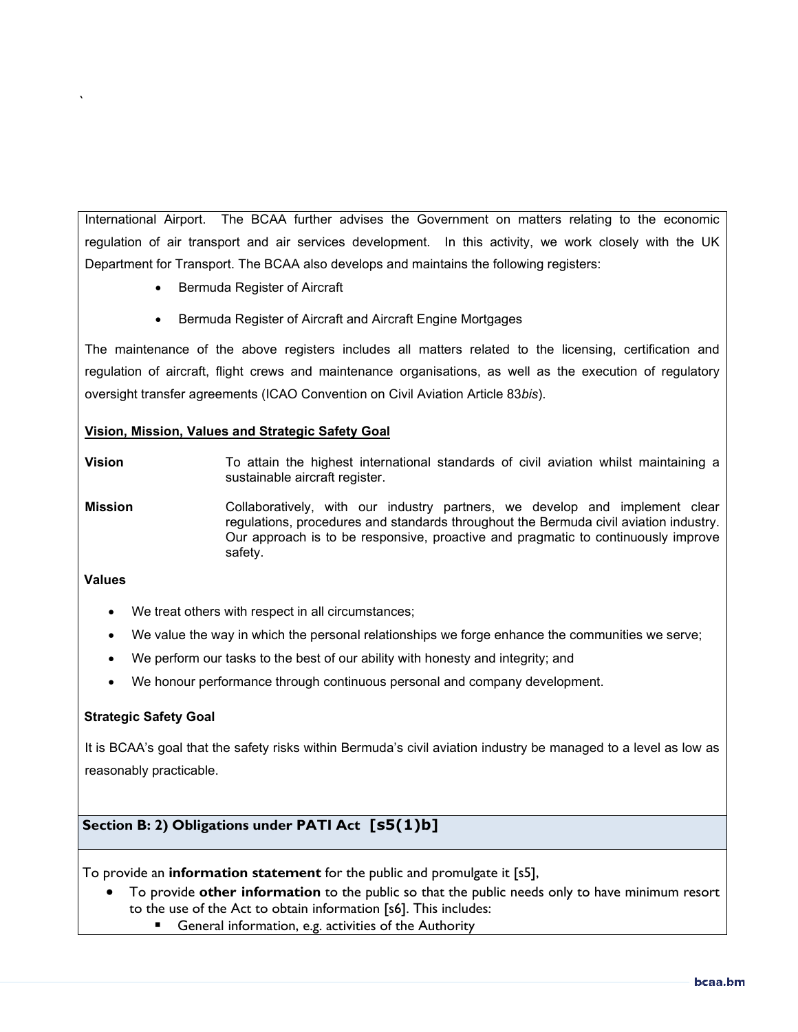International Airport. The BCAA further advises the Government on matters relating to the economic regulation of air transport and air services development. In this activity, we work closely with the UK Department for Transport. The BCAA also develops and maintains the following registers:

- Bermuda Register of Aircraft
- Bermuda Register of Aircraft and Aircraft Engine Mortgages

The maintenance of the above registers includes all matters related to the licensing, certification and regulation of aircraft, flight crews and maintenance organisations, as well as the execution of regulatory oversight transfer agreements (ICAO Convention on Civil Aviation Article 83*bis*).

### **Vision, Mission, Values and Strategic Safety Goal**

**Vision** To attain the highest international standards of civil aviation whilst maintaining a sustainable aircraft register.

**Mission** Collaboratively, with our industry partners, we develop and implement clear regulations, procedures and standards throughout the Bermuda civil aviation industry. Our approach is to be responsive, proactive and pragmatic to continuously improve safety.

### **Values**

`

- We treat others with respect in all circumstances;
- We value the way in which the personal relationships we forge enhance the communities we serve;
- We perform our tasks to the best of our ability with honesty and integrity; and
- We honour performance through continuous personal and company development.

### **Strategic Safety Goal**

It is BCAA's goal that the safety risks within Bermuda's civil aviation industry be managed to a level as low as reasonably practicable.

# **Section B: 2) Obligations under PATI Act [s5(1)b]**

To provide an **information statement** for the public and promulgate it [s5],

- To provide **other information** to the public so that the public needs only to have minimum resort to the use of the Act to obtain information [s6]. This includes:
	- General information, e.g. activities of the Authority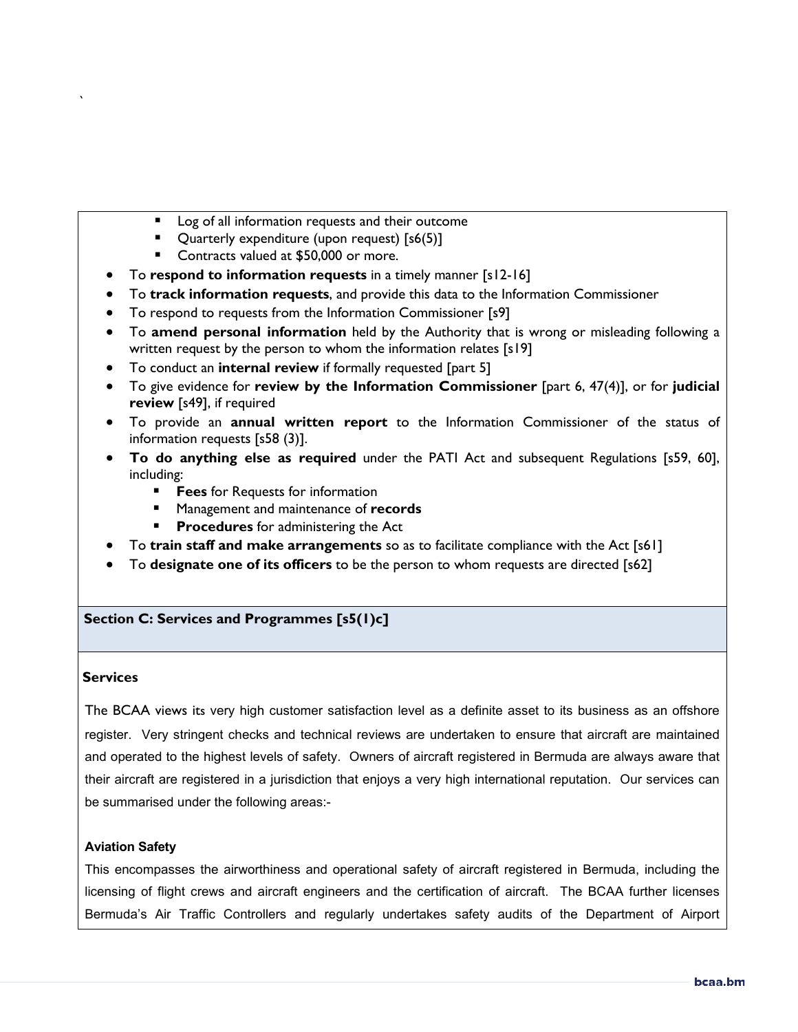- **Log of all information requests and their outcome**
- Quarterly expenditure (upon request) [s6(5)]
- Contracts valued at \$50,000 or more.
- To **respond to information requests** in a timely manner [s12-16]
- To **track information requests**, and provide this data to the Information Commissioner
- To respond to requests from the Information Commissioner [s9]
- To **amend personal information** held by the Authority that is wrong or misleading following a written request by the person to whom the information relates [s19]
- To conduct an **internal review** if formally requested [part 5]
- To give evidence for **review by the Information Commissioner** [part 6, 47(4)], or for **judicial review** [s49], if required
- To provide an **annual written report** to the Information Commissioner of the status of information requests [s58 (3)].
- **To do anything else as required** under the PATI Act and subsequent Regulations [s59, 60], including:
	- **Fees** for Requests for information
	- Management and maintenance of **records**
	- **Procedures** for administering the Act
- To **train staff and make arrangements** so as to facilitate compliance with the Act [s61]
- To **designate one of its officers** to be the person to whom requests are directed [s62]

# **Section C: Services and Programmes [s5(1)c]**

#### **Services**

`

The BCAA views its very high customer satisfaction level as a definite asset to its business as an offshore register. Very stringent checks and technical reviews are undertaken to ensure that aircraft are maintained and operated to the highest levels of safety. Owners of aircraft registered in Bermuda are always aware that their aircraft are registered in a jurisdiction that enjoys a very high international reputation. Our services can be summarised under the following areas:-

### **Aviation Safety**

This encompasses the airworthiness and operational safety of aircraft registered in Bermuda, including the licensing of flight crews and aircraft engineers and the certification of aircraft. The BCAA further licenses Bermuda's Air Traffic Controllers and regularly undertakes safety audits of the Department of Airport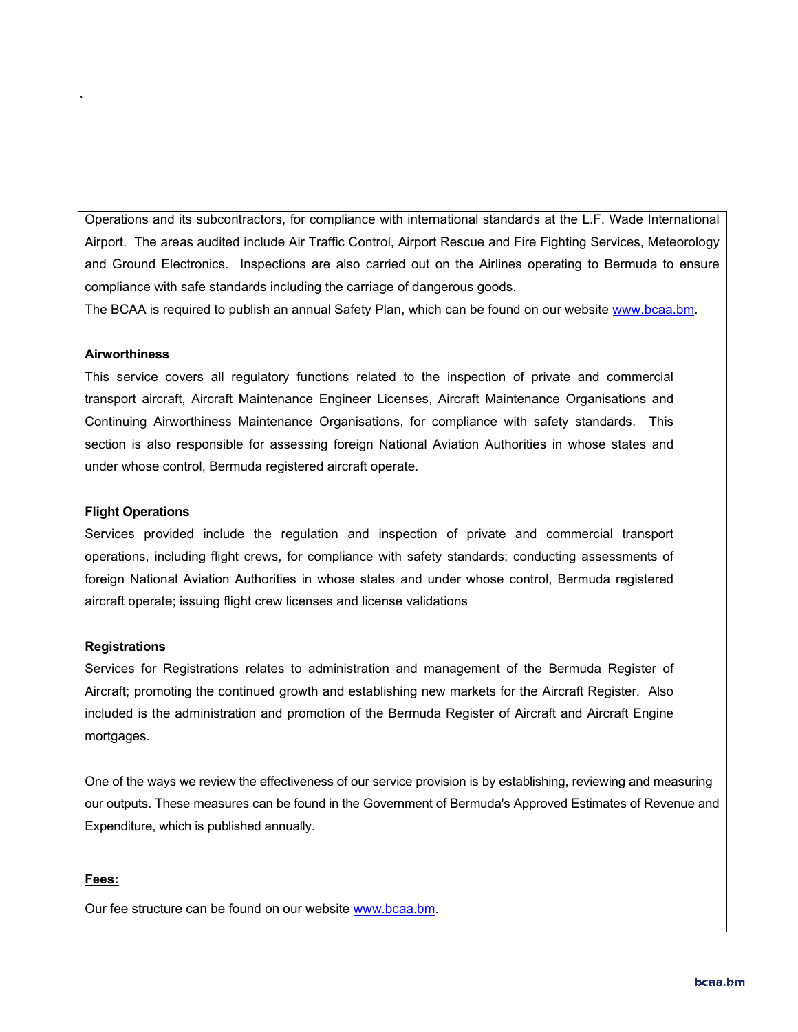Operations and its subcontractors, for compliance with international standards at the L.F. Wade International Airport. The areas audited include Air Traffic Control, Airport Rescue and Fire Fighting Services, Meteorology and Ground Electronics. Inspections are also carried out on the Airlines operating to Bermuda to ensure compliance with safe standards including the carriage of dangerous goods.

The BCAA is required to publish an annual Safety Plan, which can be found on our website [www.bcaa.bm.](http://www.bcaa.bm/)

#### **Airworthiness**

`

This service covers all regulatory functions related to the inspection of private and commercial transport aircraft, Aircraft Maintenance Engineer Licenses, Aircraft Maintenance Organisations and Continuing Airworthiness Maintenance Organisations, for compliance with safety standards. This section is also responsible for assessing foreign National Aviation Authorities in whose states and under whose control, Bermuda registered aircraft operate.

#### **Flight Operations**

Services provided include the regulation and inspection of private and commercial transport operations, including flight crews, for compliance with safety standards; conducting assessments of foreign National Aviation Authorities in whose states and under whose control, Bermuda registered aircraft operate; issuing flight crew licenses and license validations

#### **Registrations**

Services for Registrations relates to administration and management of the Bermuda Register of Aircraft; promoting the continued growth and establishing new markets for the Aircraft Register. Also included is the administration and promotion of the Bermuda Register of Aircraft and Aircraft Engine mortgages.

One of the ways we review the effectiveness of our service provision is by establishing, reviewing and measuring our outputs. These measures can be found in the Government of Bermuda's Approved Estimates of Revenue and Expenditure, which is published annually.

### **Fees:**

Our fee structure can be found on our website [www.bcaa.bm.](http://www.bcaa.bm/)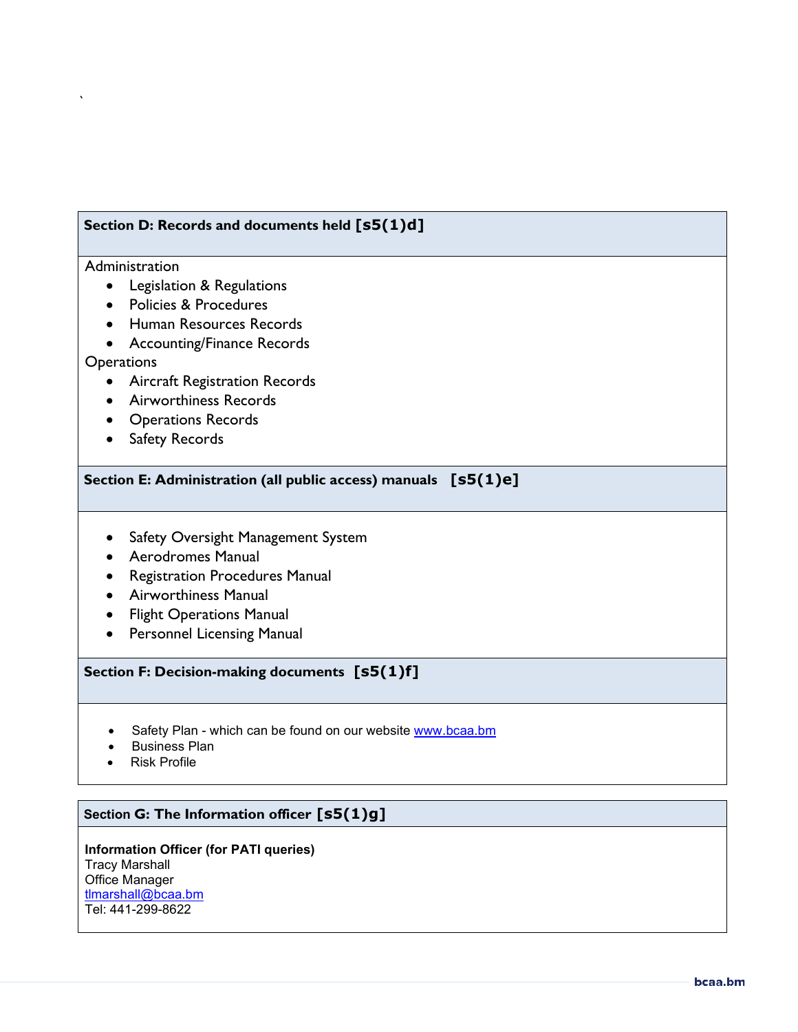# **Section D: Records and documents held [s5(1)d]**

#### Administration

`

- Legislation & Regulations
- Policies & Procedures
- Human Resources Records
- Accounting/Finance Records

### **Operations**

- Aircraft Registration Records
- Airworthiness Records
- Operations Records
- Safety Records

### **Section E: Administration (all public access) manuals [s5(1)e]**

- Safety Oversight Management System
- Aerodromes Manual
- Registration Procedures Manual
- Airworthiness Manual
- Flight Operations Manual
- Personnel Licensing Manual

# **Section F: Decision-making documents [s5(1)f]**

- Safety Plan which can be found on our website [www.bcaa.bm](http://www.bcaa.bm/)
- Business Plan
- Risk Profile

# **Section G: The Information officer [s5(1)g]**

**Information Officer (for PATI queries)** Tracy Marshall Office Manager [tlmarshall@bcaa.bm](mailto:tlmarshall@bcaa.bm) Tel: 441-299-8622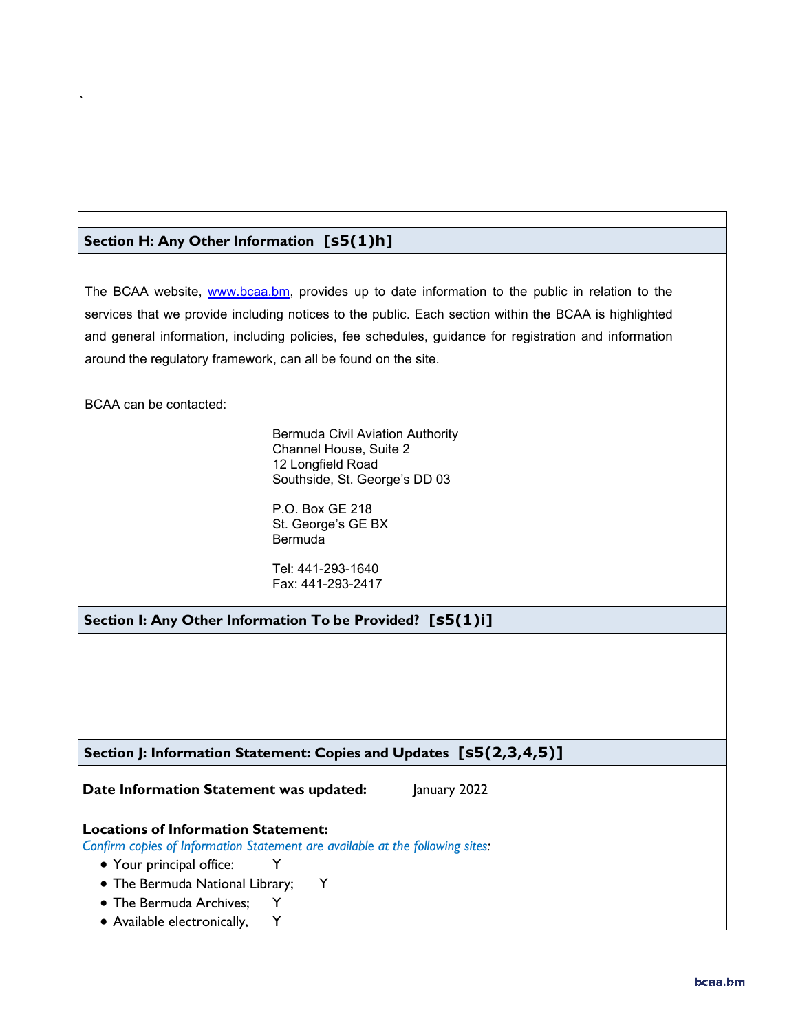# **Section H: Any Other Information [s5(1)h]**

The BCAA website, [www.bcaa.bm,](http://www.bcaa.bm/) provides up to date information to the public in relation to the services that we provide including notices to the public. Each section within the BCAA is highlighted and general information, including policies, fee schedules, guidance for registration and information around the regulatory framework, can all be found on the site.

BCAA can be contacted:

`

Bermuda Civil Aviation Authority Channel House, Suite 2 12 Longfield Road Southside, St. George's DD 03

P.O. Box GE 218 St. George's GE BX Bermuda

Tel: 441-293-1640 Fax: 441-293-2417

**Section I: Any Other Information To be Provided? [s5(1)i]**

**Section J: Information Statement: Copies and Updates [s5(2,3,4,5)]**

**Date Information Statement was updated:** January 2022

### **Locations of Information Statement:**

*Confirm copies of Information Statement are available at the following sites:* 

- Your principal office: Y
- The Bermuda National Library; Y
- The Bermuda Archives; Y
- Available electronically, Y